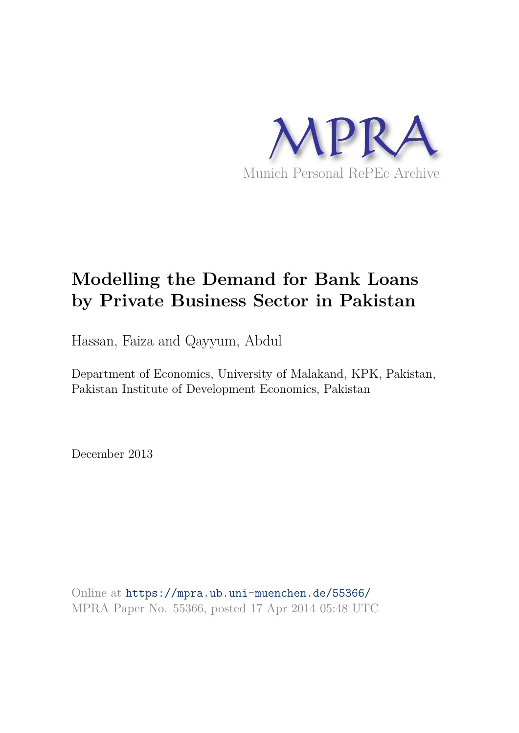

# **Modelling the Demand for Bank Loans by Private Business Sector in Pakistan**

Hassan, Faiza and Qayyum, Abdul

Department of Economics, University of Malakand, KPK, Pakistan, Pakistan Institute of Development Economics, Pakistan

December 2013

Online at https://mpra.ub.uni-muenchen.de/55366/ MPRA Paper No. 55366, posted 17 Apr 2014 05:48 UTC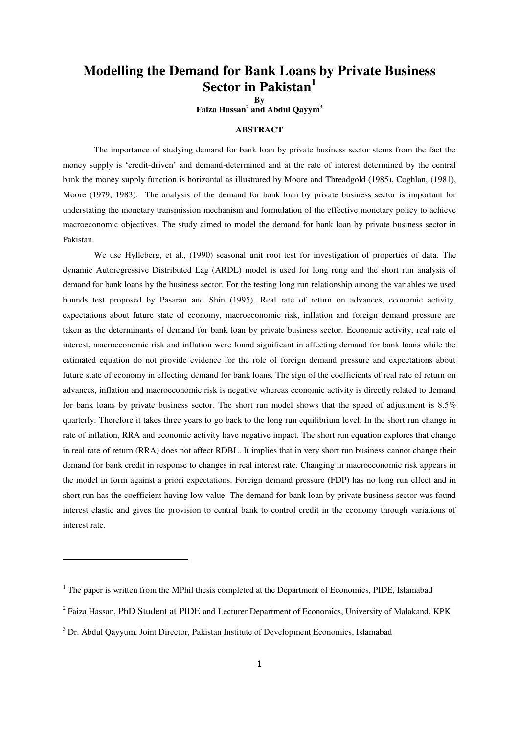# **Modelling the Demand for Bank Loans by Private Business Sector in Pakistan<sup>1</sup>**

**By** 

**Faiza Hassan<sup>2</sup> and Abdul Qayym<sup>3</sup>**

# **ABSTRACT**

The importance of studying demand for bank loan by private business sector stems from the fact the money supply is "credit-driven" and demand-determined and at the rate of interest determined by the central bank the money supply function is horizontal as illustrated by Moore and Threadgold (1985), Coghlan, (1981), Moore (1979, 1983). The analysis of the demand for bank loan by private business sector is important for understating the monetary transmission mechanism and formulation of the effective monetary policy to achieve macroeconomic objectives. The study aimed to model the demand for bank loan by private business sector in Pakistan.

We use Hylleberg, et al., (1990) seasonal unit root test for investigation of properties of data. The dynamic Autoregressive Distributed Lag (ARDL) model is used for long rung and the short run analysis of demand for bank loans by the business sector. For the testing long run relationship among the variables we used bounds test proposed by Pasaran and Shin (1995). Real rate of return on advances, economic activity, expectations about future state of economy, macroeconomic risk, inflation and foreign demand pressure are taken as the determinants of demand for bank loan by private business sector. Economic activity, real rate of interest, macroeconomic risk and inflation were found significant in affecting demand for bank loans while the estimated equation do not provide evidence for the role of foreign demand pressure and expectations about future state of economy in effecting demand for bank loans. The sign of the coefficients of real rate of return on advances, inflation and macroeconomic risk is negative whereas economic activity is directly related to demand for bank loans by private business sector. The short run model shows that the speed of adjustment is 8.5% quarterly. Therefore it takes three years to go back to the long run equilibrium level. In the short run change in rate of inflation, RRA and economic activity have negative impact. The short run equation explores that change in real rate of return (RRA) does not affect RDBL. It implies that in very short run business cannot change their demand for bank credit in response to changes in real interest rate. Changing in macroeconomic risk appears in the model in form against a priori expectations. Foreign demand pressure (FDP) has no long run effect and in short run has the coefficient having low value. The demand for bank loan by private business sector was found interest elastic and gives the provision to central bank to control credit in the economy through variations of interest rate.

 $\overline{a}$ 

<sup>&</sup>lt;sup>1</sup> The paper is written from the MPhil thesis completed at the Department of Economics, PIDE, Islamabad

<sup>&</sup>lt;sup>2</sup> Faiza Hassan, PhD Student at PIDE and Lecturer Department of Economics, University of Malakand, KPK

<sup>&</sup>lt;sup>3</sup> Dr. Abdul Qayyum, Joint Director, Pakistan Institute of Development Economics, Islamabad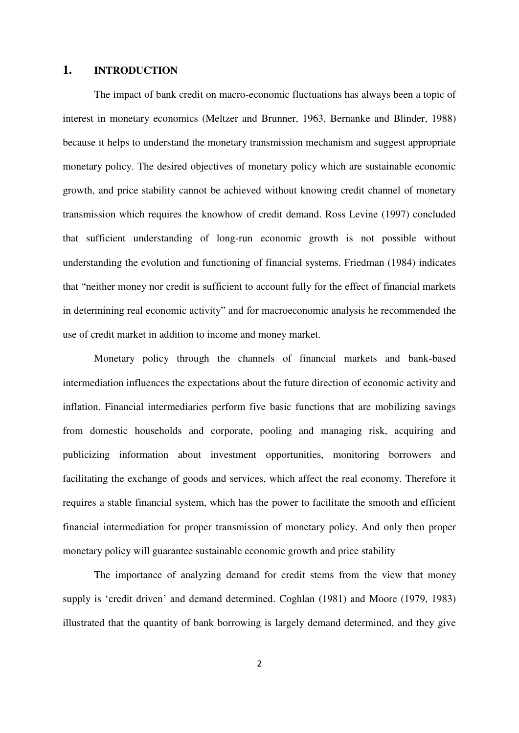# **1. INTRODUCTION**

The impact of bank credit on macro-economic fluctuations has always been a topic of interest in monetary economics (Meltzer and Brunner, 1963, Bernanke and Blinder, 1988) because it helps to understand the monetary transmission mechanism and suggest appropriate monetary policy. The desired objectives of monetary policy which are sustainable economic growth, and price stability cannot be achieved without knowing credit channel of monetary transmission which requires the knowhow of credit demand. Ross Levine (1997) concluded that sufficient understanding of long-run economic growth is not possible without understanding the evolution and functioning of financial systems. Friedman (1984) indicates that "neither money nor credit is sufficient to account fully for the effect of financial markets in determining real economic activity" and for macroeconomic analysis he recommended the use of credit market in addition to income and money market.

Monetary policy through the channels of financial markets and bank-based intermediation influences the expectations about the future direction of economic activity and inflation. Financial intermediaries perform five basic functions that are mobilizing savings from domestic households and corporate, pooling and managing risk, acquiring and publicizing information about investment opportunities, monitoring borrowers and facilitating the exchange of goods and services, which affect the real economy. Therefore it requires a stable financial system, which has the power to facilitate the smooth and efficient financial intermediation for proper transmission of monetary policy. And only then proper monetary policy will guarantee sustainable economic growth and price stability

The importance of analyzing demand for credit stems from the view that money supply is 'credit driven' and demand determined. Coghlan (1981) and Moore (1979, 1983) illustrated that the quantity of bank borrowing is largely demand determined, and they give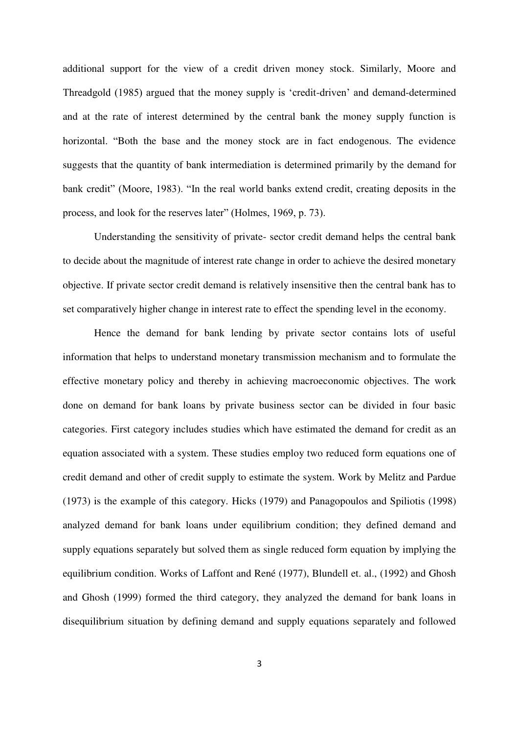additional support for the view of a credit driven money stock. Similarly, Moore and Threadgold (1985) argued that the money supply is "credit-driven" and demand-determined and at the rate of interest determined by the central bank the money supply function is horizontal. "Both the base and the money stock are in fact endogenous. The evidence suggests that the quantity of bank intermediation is determined primarily by the demand for bank credit" (Moore, 1983). "In the real world banks extend credit, creating deposits in the process, and look for the reserves later" (Holmes, 1969, p. 73).

Understanding the sensitivity of private- sector credit demand helps the central bank to decide about the magnitude of interest rate change in order to achieve the desired monetary objective. If private sector credit demand is relatively insensitive then the central bank has to set comparatively higher change in interest rate to effect the spending level in the economy.

Hence the demand for bank lending by private sector contains lots of useful information that helps to understand monetary transmission mechanism and to formulate the effective monetary policy and thereby in achieving macroeconomic objectives. The work done on demand for bank loans by private business sector can be divided in four basic categories. First category includes studies which have estimated the demand for credit as an equation associated with a system. These studies employ two reduced form equations one of credit demand and other of credit supply to estimate the system. Work by Melitz and Pardue (1973) is the example of this category. Hicks (1979) and Panagopoulos and Spiliotis (1998) analyzed demand for bank loans under equilibrium condition; they defined demand and supply equations separately but solved them as single reduced form equation by implying the equilibrium condition. Works of Laffont and René (1977), Blundell et. al., (1992) and Ghosh and Ghosh (1999) formed the third category, they analyzed the demand for bank loans in disequilibrium situation by defining demand and supply equations separately and followed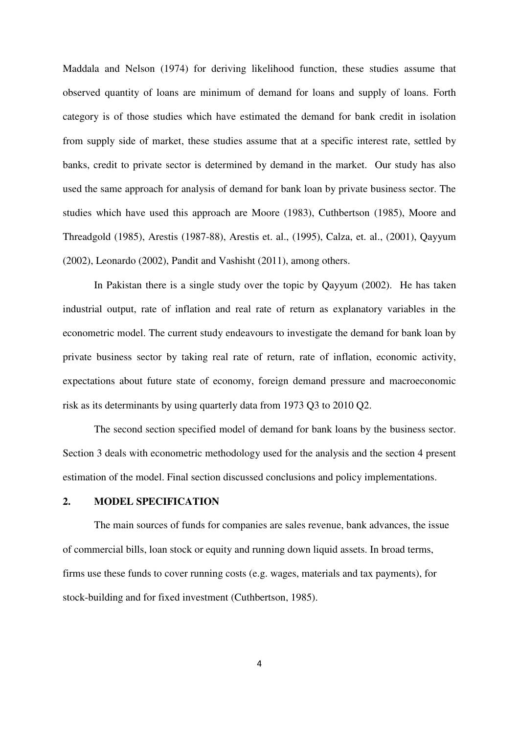Maddala and Nelson (1974) for deriving likelihood function, these studies assume that observed quantity of loans are minimum of demand for loans and supply of loans. Forth category is of those studies which have estimated the demand for bank credit in isolation from supply side of market, these studies assume that at a specific interest rate, settled by banks, credit to private sector is determined by demand in the market. Our study has also used the same approach for analysis of demand for bank loan by private business sector. The studies which have used this approach are Moore (1983), Cuthbertson (1985), Moore and Threadgold (1985), Arestis (1987-88), Arestis et. al., (1995), Calza, et. al., (2001), Qayyum (2002), Leonardo (2002), Pandit and Vashisht (2011), among others.

In Pakistan there is a single study over the topic by Qayyum (2002). He has taken industrial output, rate of inflation and real rate of return as explanatory variables in the econometric model. The current study endeavours to investigate the demand for bank loan by private business sector by taking real rate of return, rate of inflation, economic activity, expectations about future state of economy, foreign demand pressure and macroeconomic risk as its determinants by using quarterly data from 1973 Q3 to 2010 Q2.

The second section specified model of demand for bank loans by the business sector. Section 3 deals with econometric methodology used for the analysis and the section 4 present estimation of the model. Final section discussed conclusions and policy implementations.

# **2. MODEL SPECIFICATION**

The main sources of funds for companies are sales revenue, bank advances, the issue of commercial bills, loan stock or equity and running down liquid assets. In broad terms, firms use these funds to cover running costs (e.g. wages, materials and tax payments), for stock-building and for fixed investment (Cuthbertson, 1985).

4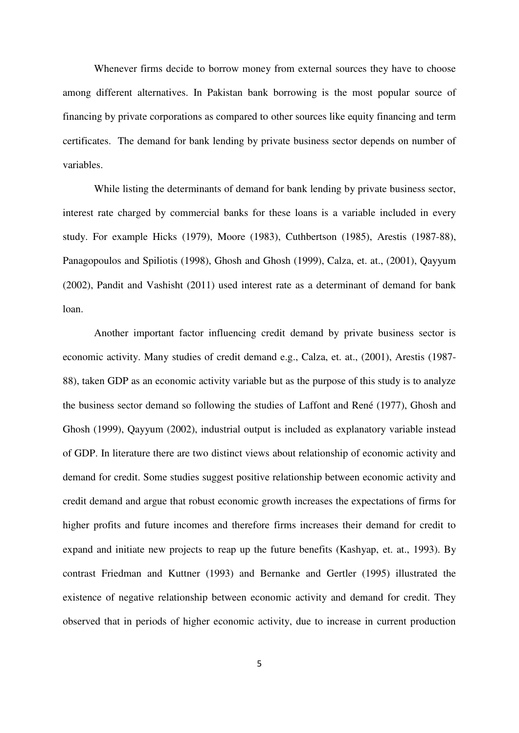Whenever firms decide to borrow money from external sources they have to choose among different alternatives. In Pakistan bank borrowing is the most popular source of financing by private corporations as compared to other sources like equity financing and term certificates. The demand for bank lending by private business sector depends on number of variables.

While listing the determinants of demand for bank lending by private business sector, interest rate charged by commercial banks for these loans is a variable included in every study. For example Hicks (1979), Moore (1983), Cuthbertson (1985), Arestis (1987-88), Panagopoulos and Spiliotis (1998), Ghosh and Ghosh (1999), Calza, et. at., (2001), Qayyum (2002), Pandit and Vashisht (2011) used interest rate as a determinant of demand for bank loan.

Another important factor influencing credit demand by private business sector is economic activity. Many studies of credit demand e.g., Calza, et. at., (2001), Arestis (1987- 88), taken GDP as an economic activity variable but as the purpose of this study is to analyze the business sector demand so following the studies of Laffont and René (1977), Ghosh and Ghosh (1999), Qayyum (2002), industrial output is included as explanatory variable instead of GDP. In literature there are two distinct views about relationship of economic activity and demand for credit. Some studies suggest positive relationship between economic activity and credit demand and argue that robust economic growth increases the expectations of firms for higher profits and future incomes and therefore firms increases their demand for credit to expand and initiate new projects to reap up the future benefits (Kashyap, et. at., 1993). By contrast Friedman and Kuttner (1993) and Bernanke and Gertler (1995) illustrated the existence of negative relationship between economic activity and demand for credit. They observed that in periods of higher economic activity, due to increase in current production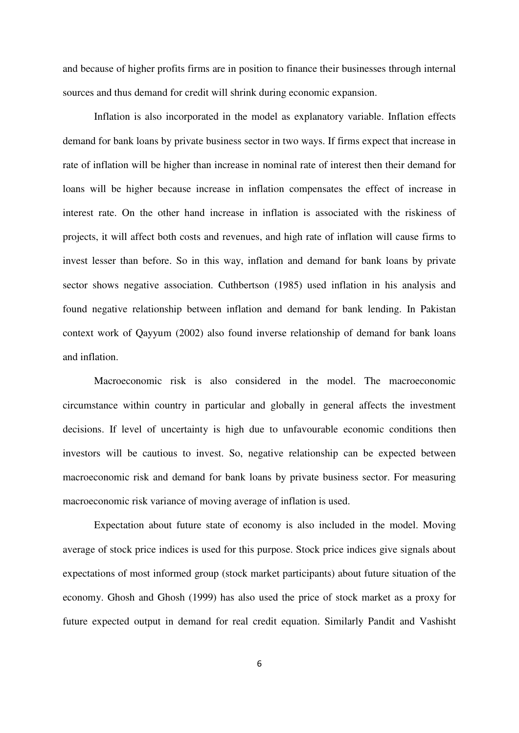and because of higher profits firms are in position to finance their businesses through internal sources and thus demand for credit will shrink during economic expansion.

Inflation is also incorporated in the model as explanatory variable. Inflation effects demand for bank loans by private business sector in two ways. If firms expect that increase in rate of inflation will be higher than increase in nominal rate of interest then their demand for loans will be higher because increase in inflation compensates the effect of increase in interest rate. On the other hand increase in inflation is associated with the riskiness of projects, it will affect both costs and revenues, and high rate of inflation will cause firms to invest lesser than before. So in this way, inflation and demand for bank loans by private sector shows negative association. Cuthbertson (1985) used inflation in his analysis and found negative relationship between inflation and demand for bank lending. In Pakistan context work of Qayyum (2002) also found inverse relationship of demand for bank loans and inflation.

 Macroeconomic risk is also considered in the model. The macroeconomic circumstance within country in particular and globally in general affects the investment decisions. If level of uncertainty is high due to unfavourable economic conditions then investors will be cautious to invest. So, negative relationship can be expected between macroeconomic risk and demand for bank loans by private business sector. For measuring macroeconomic risk variance of moving average of inflation is used.

Expectation about future state of economy is also included in the model. Moving average of stock price indices is used for this purpose. Stock price indices give signals about expectations of most informed group (stock market participants) about future situation of the economy. Ghosh and Ghosh (1999) has also used the price of stock market as a proxy for future expected output in demand for real credit equation. Similarly Pandit and Vashisht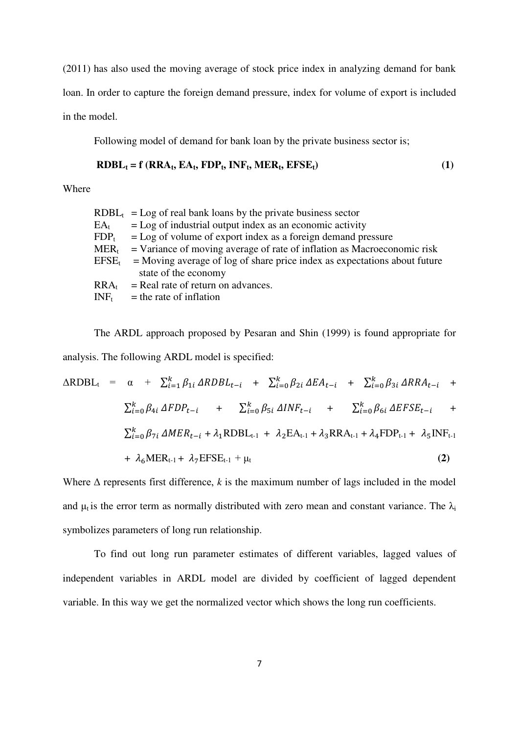(2011) has also used the moving average of stock price index in analyzing demand for bank loan. In order to capture the foreign demand pressure, index for volume of export is included in the model.

Following model of demand for bank loan by the private business sector is;

$$
RDBL_t = f (RRA_t, EA_t, FDP_t, INF_t, MER_t, EFSE_t)
$$
\n(1)

Where

|                             | $RDBL_t$ = Log of real bank loans by the private business sector            |
|-----------------------------|-----------------------------------------------------------------------------|
| $\mathrm{EA}_{\mathrm{t}}$  | $=$ Log of industrial output index as an economic activity                  |
| $FDP_t$                     | $=$ Log of volume of export index as a foreign demand pressure              |
| $\text{MER}_{\text{t}}$     | $=$ Variance of moving average of rate of inflation as Macroeconomic risk   |
| $\rm EFSE_{t}$              | $=$ Moving average of log of share price index as expectations about future |
|                             | state of the economy                                                        |
| $\mathsf{RRA}_{\mathsf{t}}$ | $=$ Real rate of return on advances.                                        |
| $\text{INF}_{\text{t}}$     | $=$ the rate of inflation                                                   |
|                             |                                                                             |

The ARDL approach proposed by Pesaran and Shin (1999) is found appropriate for analysis. The following ARDL model is specified:

$$
\Delta RDBL_{t} = \alpha + \sum_{i=1}^{k} \beta_{1i} \Delta RDBL_{t-i} + \sum_{i=0}^{k} \beta_{2i} \Delta EA_{t-i} + \sum_{i=0}^{k} \beta_{3i} \Delta RRA_{t-i} + \sum_{i=0}^{k} \beta_{4i} \Delta FDP_{t-i} + \sum_{i=0}^{k} \beta_{5i} \Delta INF_{t-i} + \sum_{i=0}^{k} \beta_{6i} \Delta EFSE_{t-i} + \sum_{i=0}^{k} \beta_{7i} \Delta MER_{t-i} + \lambda_{1} RDBL_{t-1} + \lambda_{2} EA_{t-1} + \lambda_{3} RRA_{t-1} + \lambda_{4} FDP_{t-1} + \lambda_{5} INF_{t-1} + \lambda_{6} MER_{t-1} + \lambda_{7} EFSE_{t-1} + \mu_{t}
$$
\n(2)

Where  $\Delta$  represents first difference,  $k$  is the maximum number of lags included in the model and  $\mu_t$  is the error term as normally distributed with zero mean and constant variance. The  $\lambda_i$ symbolizes parameters of long run relationship.

To find out long run parameter estimates of different variables, lagged values of independent variables in ARDL model are divided by coefficient of lagged dependent variable. In this way we get the normalized vector which shows the long run coefficients.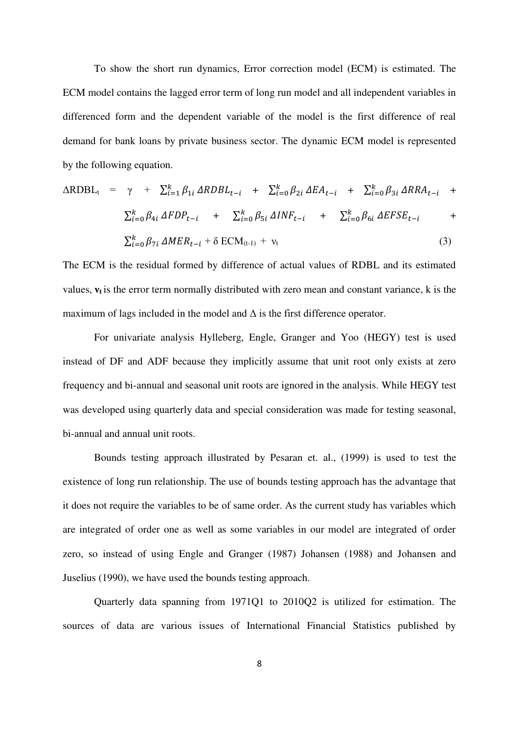To show the short run dynamics, Error correction model (ECM) is estimated. The ECM model contains the lagged error term of long run model and all independent variables in differenced form and the dependent variable of the model is the first difference of real demand for bank loans by private business sector. The dynamic ECM model is represented by the following equation.

$$
\Delta RDBL_{t} = \gamma + \sum_{i=1}^{k} \beta_{1i} \Delta RDBL_{t-i} + \sum_{i=0}^{k} \beta_{2i} \Delta EA_{t-i} + \sum_{i=0}^{k} \beta_{3i} \Delta RRA_{t-i} + \sum_{i=0}^{k} \beta_{4i} \Delta FDP_{t-i} + \sum_{i=0}^{k} \beta_{5i} \Delta INF_{t-i} + \sum_{i=0}^{k} \beta_{6i} \Delta EFSE_{t-i} + \sum_{i=0}^{k} \beta_{7i} \Delta MER_{t-i} + \delta ECM_{(t-1)} + \nu_{t}
$$
\n(3)

The ECM is the residual formed by difference of actual values of RDBL and its estimated values,  $v_t$  is the error term normally distributed with zero mean and constant variance,  $k$  is the maximum of lags included in the model and  $\Delta$  is the first difference operator.

For univariate analysis Hylleberg, Engle, Granger and Yoo (HEGY) test is used instead of DF and ADF because they implicitly assume that unit root only exists at zero frequency and bi-annual and seasonal unit roots are ignored in the analysis. While HEGY test was developed using quarterly data and special consideration was made for testing seasonal, bi-annual and annual unit roots.

Bounds testing approach illustrated by Pesaran et. al., (1999) is used to test the existence of long run relationship. The use of bounds testing approach has the advantage that it does not require the variables to be of same order. As the current study has variables which are integrated of order one as well as some variables in our model are integrated of order zero, so instead of using Engle and Granger (1987) Johansen (1988) and Johansen and Juselius (1990), we have used the bounds testing approach.

Quarterly data spanning from 1971Q1 to 2010Q2 is utilized for estimation. The sources of data are various issues of International Financial Statistics published by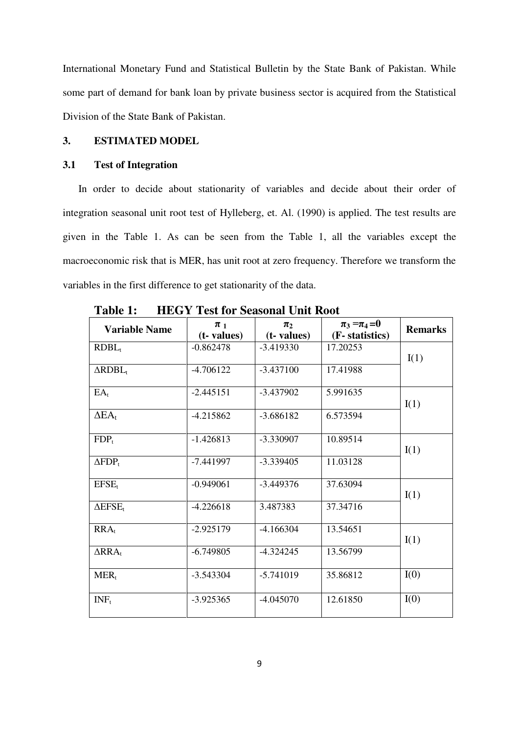International Monetary Fund and Statistical Bulletin by the State Bank of Pakistan. While some part of demand for bank loan by private business sector is acquired from the Statistical Division of the State Bank of Pakistan.

# **3. ESTIMATED MODEL**

#### **3.1 Test of Integration**

In order to decide about stationarity of variables and decide about their order of integration seasonal unit root test of Hylleberg, et. Al. (1990) is applied. The test results are given in the Table 1. As can be seen from the Table 1, all the variables except the macroeconomic risk that is MER, has unit root at zero frequency. Therefore we transform the variables in the first difference to get stationarity of the data.

| <b>Variable Name</b>       | $\pi$ <sub>1</sub><br>$(t$ - values $)$ | $\pi_2$<br>(t- values) | $\pi_3 = \pi_4 = 0$<br>(F- statistics) | <b>Remarks</b> |
|----------------------------|-----------------------------------------|------------------------|----------------------------------------|----------------|
| $RDBL_t$                   | $-0.862478$                             | $-3.419330$            | 17.20253                               | I(1)           |
| $\Delta RDBL_t$            | $-4.706122$                             | $-3.437100$            | 17.41988                               |                |
| $EA_t$                     | $-2.445151$                             | $-3.437902$            | 5.991635                               | I(1)           |
| $\Delta$ EA <sub>t</sub>   | $-4.215862$                             | $-3.686182$            | 6.573594                               |                |
| $FDP_t$                    | $-1.426813$                             | $-3.330907$            | 10.89514                               | I(1)           |
| $\Delta FDP_t$             | $-7.441997$                             | $-3.339405$            | 11.03128                               |                |
| EFSE <sub>t</sub>          | $-0.949061$                             | $-3.449376$            | 37.63094                               | I(1)           |
| $\Delta$ EFSE <sub>t</sub> | $-4.226618$                             | 3.487383               | 37.34716                               |                |
| $RRA_{t}$                  | $-2.925179$                             | $-4.166304$            | 13.54651                               | I(1)           |
| $\Delta$ RRA <sub>t</sub>  | $-6.749805$                             | $-4.324245$            | 13.56799                               |                |
| $MER_t$                    | $-3.543304$                             | $-5.741019$            | 35.86812                               | I(0)           |
| $INF_t$                    | $-3.925365$                             | $-4.045070$            | 12.61850                               | I(0)           |

**Table 1: HEGY Test for Seasonal Unit Root**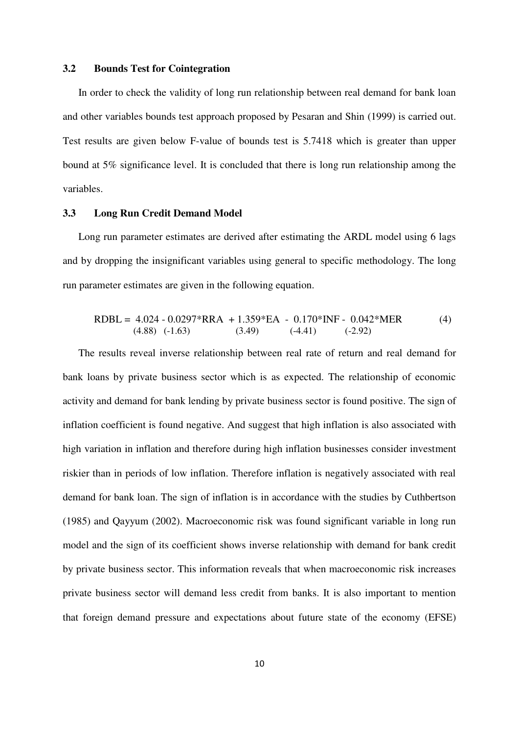#### **3.2 Bounds Test for Cointegration**

In order to check the validity of long run relationship between real demand for bank loan and other variables bounds test approach proposed by Pesaran and Shin (1999) is carried out. Test results are given below F-value of bounds test is 5.7418 which is greater than upper bound at 5% significance level. It is concluded that there is long run relationship among the variables.

#### **3.3 Long Run Credit Demand Model**

Long run parameter estimates are derived after estimating the ARDL model using 6 lags and by dropping the insignificant variables using general to specific methodology. The long run parameter estimates are given in the following equation.

$$
RDBL = 4.024 - 0.0297 * RRA + 1.359 * EA - 0.170 * INF - 0.042 * MER
$$
\n
$$
(4.88) (-1.63) \qquad (3.49) \qquad (-4.41) \qquad (-2.92)
$$
\n
$$
(4.89) (-1.63) \qquad (4.9)
$$

The results reveal inverse relationship between real rate of return and real demand for bank loans by private business sector which is as expected. The relationship of economic activity and demand for bank lending by private business sector is found positive. The sign of inflation coefficient is found negative. And suggest that high inflation is also associated with high variation in inflation and therefore during high inflation businesses consider investment riskier than in periods of low inflation. Therefore inflation is negatively associated with real demand for bank loan. The sign of inflation is in accordance with the studies by Cuthbertson (1985) and Qayyum (2002). Macroeconomic risk was found significant variable in long run model and the sign of its coefficient shows inverse relationship with demand for bank credit by private business sector. This information reveals that when macroeconomic risk increases private business sector will demand less credit from banks. It is also important to mention that foreign demand pressure and expectations about future state of the economy (EFSE)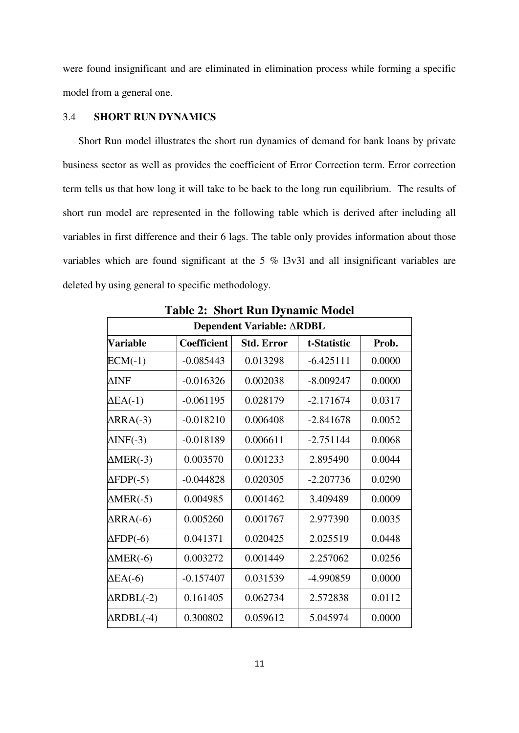were found insignificant and are eliminated in elimination process while forming a specific model from a general one.

# 3.4 **SHORT RUN DYNAMICS**

Short Run model illustrates the short run dynamics of demand for bank loans by private business sector as well as provides the coefficient of Error Correction term. Error correction term tells us that how long it will take to be back to the long run equilibrium. The results of short run model are represented in the following table which is derived after including all variables in first difference and their 6 lags. The table only provides information about those variables which are found significant at the 5 % l3v3l and all insignificant variables are deleted by using general to specific methodology.

| Dependent Variable: ARDBL |                    |                   |             |        |  |  |  |
|---------------------------|--------------------|-------------------|-------------|--------|--|--|--|
| Variable                  | <b>Coefficient</b> | <b>Std. Error</b> | t-Statistic | Prob.  |  |  |  |
| $ECM(-1)$                 | $-0.085443$        | 0.013298          | $-6.425111$ | 0.0000 |  |  |  |
| $\Delta\text{INF}$        | $-0.016326$        | 0.002038          | $-8.009247$ | 0.0000 |  |  |  |
| $\Delta$ EA(-1)           | $-0.061195$        | 0.028179          | $-2.171674$ | 0.0317 |  |  |  |
| $\triangle$ RRA(-3)       | $-0.018210$        | 0.006408          | $-2.841678$ | 0.0052 |  |  |  |
| $\Delta$ INF(-3)          | $-0.018189$        | 0.006611          | $-2.751144$ | 0.0068 |  |  |  |
| $\triangle MER(-3)$       | 0.003570           | 0.001233          | 2.895490    | 0.0044 |  |  |  |
| $\Delta$ FDP(-5)          | $-0.044828$        | 0.020305          | $-2.207736$ | 0.0290 |  |  |  |
| $\triangle MER(-5)$       | 0.004985           | 0.001462          | 3.409489    | 0.0009 |  |  |  |
| $\Delta$ RRA(-6)          | 0.005260           | 0.001767          | 2.977390    | 0.0035 |  |  |  |
| $\Delta FDP(-6)$          | 0.041371           | 0.020425          | 2.025519    | 0.0448 |  |  |  |
| $\triangle MER(-6)$       | 0.003272           | 0.001449          | 2.257062    | 0.0256 |  |  |  |
| $\Delta$ EA(-6)           | $-0.157407$        | 0.031539          | -4.990859   | 0.0000 |  |  |  |
| $\triangle RDBL(-2)$      | 0.161405           | 0.062734          | 2.572838    | 0.0112 |  |  |  |
| $\triangle RDBL(-4)$      | 0.300802           | 0.059612          | 5.045974    | 0.0000 |  |  |  |

**Table 2: Short Run Dynamic Model**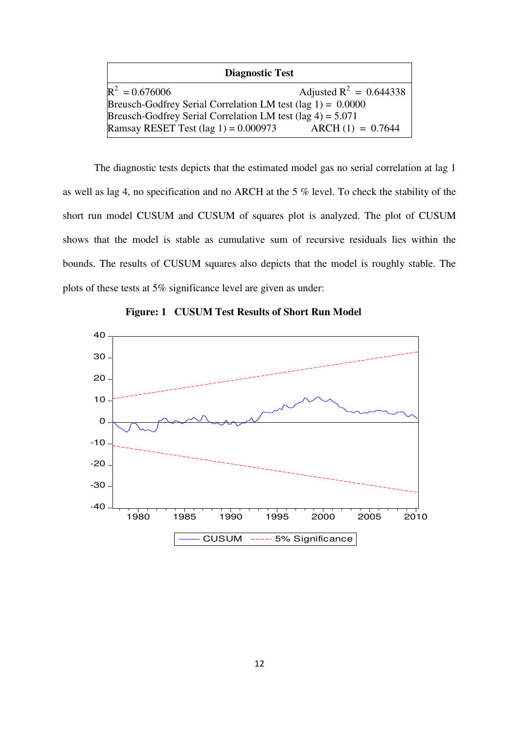| <b>Diagnostic Test</b>                                                |                           |  |  |  |  |  |
|-----------------------------------------------------------------------|---------------------------|--|--|--|--|--|
| $R^2 = 0.676006$                                                      | Adjusted $R^2 = 0.644338$ |  |  |  |  |  |
| Breusch-Godfrey Serial Correlation LM test $(\text{lag } 1) = 0.0000$ |                           |  |  |  |  |  |
| Breusch-Godfrey Serial Correlation LM test $(\text{lag } 4) = 5.071$  |                           |  |  |  |  |  |
| Ramsay RESET Test $(\text{lag } 1) = 0.000973$                        | $ARCH (1) = 0.7644$       |  |  |  |  |  |

The diagnostic tests depicts that the estimated model gas no serial correlation at lag 1 as well as lag 4, no specification and no ARCH at the 5 % level. To check the stability of the short run model CUSUM and CUSUM of squares plot is analyzed. The plot of CUSUM shows that the model is stable as cumulative sum of recursive residuals lies within the bounds. The results of CUSUM squares also depicts that the model is roughly stable. The plots of these tests at 5% significance level are given as under:



**Figure: 1 CUSUM Test Results of Short Run Model**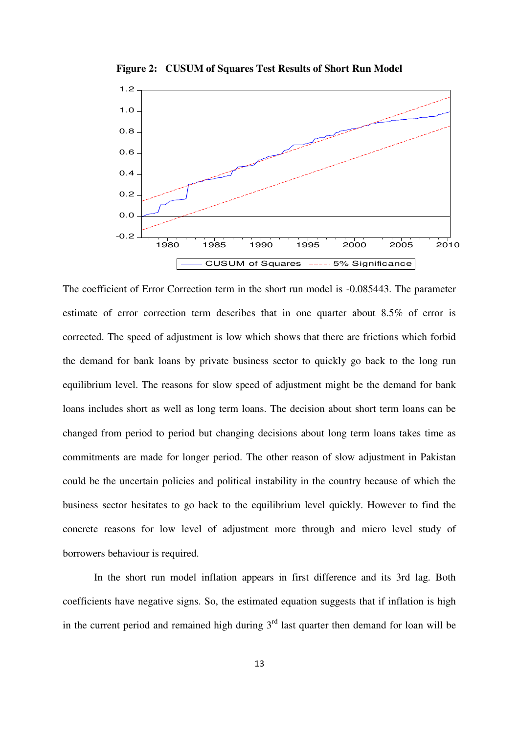

**Figure 2: CUSUM of Squares Test Results of Short Run Model** 

The coefficient of Error Correction term in the short run model is -0.085443. The parameter estimate of error correction term describes that in one quarter about 8.5% of error is corrected. The speed of adjustment is low which shows that there are frictions which forbid the demand for bank loans by private business sector to quickly go back to the long run equilibrium level. The reasons for slow speed of adjustment might be the demand for bank loans includes short as well as long term loans. The decision about short term loans can be changed from period to period but changing decisions about long term loans takes time as commitments are made for longer period. The other reason of slow adjustment in Pakistan could be the uncertain policies and political instability in the country because of which the business sector hesitates to go back to the equilibrium level quickly. However to find the concrete reasons for low level of adjustment more through and micro level study of borrowers behaviour is required.

In the short run model inflation appears in first difference and its 3rd lag. Both coefficients have negative signs. So, the estimated equation suggests that if inflation is high in the current period and remained high during  $3<sup>rd</sup>$  last quarter then demand for loan will be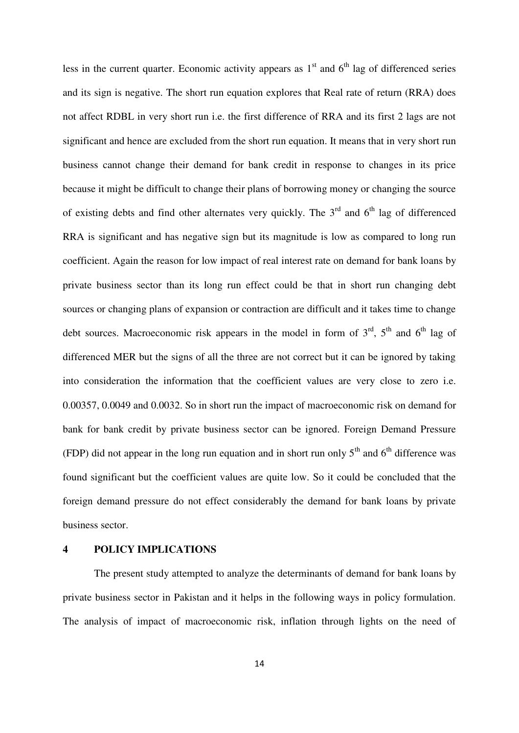less in the current quarter. Economic activity appears as  $1<sup>st</sup>$  and  $6<sup>th</sup>$  lag of differenced series and its sign is negative. The short run equation explores that Real rate of return (RRA) does not affect RDBL in very short run i.e. the first difference of RRA and its first 2 lags are not significant and hence are excluded from the short run equation. It means that in very short run business cannot change their demand for bank credit in response to changes in its price because it might be difficult to change their plans of borrowing money or changing the source of existing debts and find other alternates very quickly. The  $3<sup>rd</sup>$  and  $6<sup>th</sup>$  lag of differenced RRA is significant and has negative sign but its magnitude is low as compared to long run coefficient. Again the reason for low impact of real interest rate on demand for bank loans by private business sector than its long run effect could be that in short run changing debt sources or changing plans of expansion or contraction are difficult and it takes time to change debt sources. Macroeconomic risk appears in the model in form of  $3<sup>rd</sup>$ ,  $5<sup>th</sup>$  and  $6<sup>th</sup>$  lag of differenced MER but the signs of all the three are not correct but it can be ignored by taking into consideration the information that the coefficient values are very close to zero i.e. 0.00357, 0.0049 and 0.0032. So in short run the impact of macroeconomic risk on demand for bank for bank credit by private business sector can be ignored. Foreign Demand Pressure (FDP) did not appear in the long run equation and in short run only  $5<sup>th</sup>$  and  $6<sup>th</sup>$  difference was found significant but the coefficient values are quite low. So it could be concluded that the foreign demand pressure do not effect considerably the demand for bank loans by private business sector.

## **4 POLICY IMPLICATIONS**

The present study attempted to analyze the determinants of demand for bank loans by private business sector in Pakistan and it helps in the following ways in policy formulation. The analysis of impact of macroeconomic risk, inflation through lights on the need of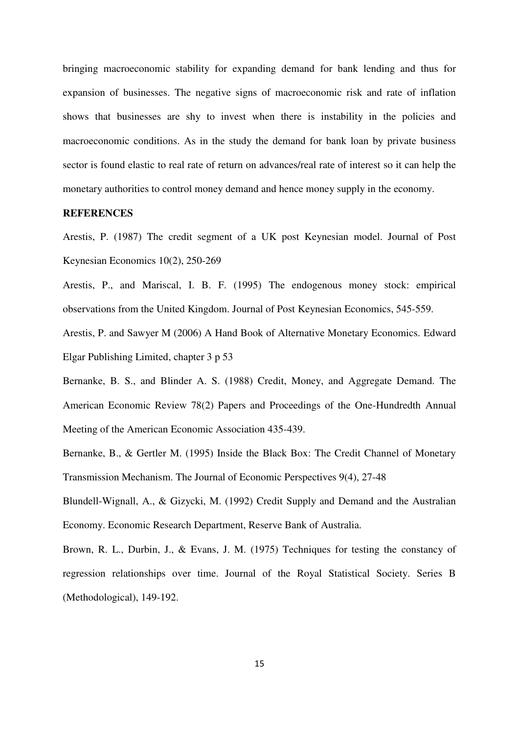bringing macroeconomic stability for expanding demand for bank lending and thus for expansion of businesses. The negative signs of macroeconomic risk and rate of inflation shows that businesses are shy to invest when there is instability in the policies and macroeconomic conditions. As in the study the demand for bank loan by private business sector is found elastic to real rate of return on advances/real rate of interest so it can help the monetary authorities to control money demand and hence money supply in the economy.

#### **REFERENCES**

Arestis, P. (1987) The credit segment of a UK post Keynesian model. Journal of Post Keynesian Economics 10(2), 250-269

Arestis, P., and Mariscal, I. B. F. (1995) The endogenous money stock: empirical observations from the United Kingdom. Journal of Post Keynesian Economics, 545-559.

Arestis, P. and Sawyer M (2006) A Hand Book of Alternative Monetary Economics. Edward Elgar Publishing Limited, chapter 3 p 53

Bernanke, B. S., and Blinder A. S. (1988) Credit, Money, and Aggregate Demand. The American Economic Review 78(2) Papers and Proceedings of the One-Hundredth Annual Meeting of the American Economic Association 435-439.

Bernanke, B., & Gertler M. (1995) Inside the Black Box: The Credit Channel of Monetary Transmission Mechanism. The Journal of Economic Perspectives 9(4), 27-48

Blundell-Wignall, A., & Gizycki, M. (1992) Credit Supply and Demand and the Australian Economy. Economic Research Department, Reserve Bank of Australia.

Brown, R. L., Durbin, J., & Evans, J. M. (1975) Techniques for testing the constancy of regression relationships over time. Journal of the Royal Statistical Society. Series B (Methodological), 149-192.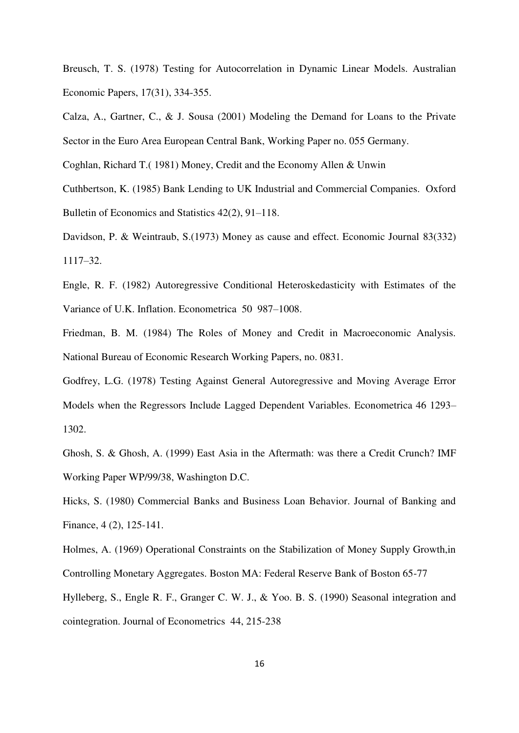Breusch, T. S. (1978) Testing for Autocorrelation in Dynamic Linear Models. Australian Economic Papers, 17(31), 334-355.

Calza, A., Gartner, C., & J. Sousa (2001) Modeling the Demand for Loans to the Private Sector in the Euro Area European Central Bank, Working Paper no. 055 Germany.

Coghlan, Richard T.( 1981) Money, Credit and the Economy Allen & Unwin

Cuthbertson, K. (1985) Bank Lending to UK Industrial and Commercial Companies. Oxford Bulletin of Economics and Statistics 42(2), 91–118.

Davidson, P. & Weintraub, S.(1973) Money as cause and effect. Economic Journal 83(332) 1117–32.

Engle, R. F. (1982) Autoregressive Conditional Heteroskedasticity with Estimates of the Variance of U.K. Inflation. Econometrica 50 987–1008.

Friedman, B. M. (1984) The Roles of Money and Credit in Macroeconomic Analysis. National Bureau of Economic Research Working Papers, no. 0831.

Godfrey, L.G. (1978) Testing Against General Autoregressive and Moving Average Error Models when the Regressors Include Lagged Dependent Variables. Econometrica 46 1293– 1302.

Ghosh, S. & Ghosh, A. (1999) East Asia in the Aftermath: was there a Credit Crunch? IMF Working Paper WP/99/38, Washington D.C.

Hicks, S. (1980) Commercial Banks and Business Loan Behavior. Journal of Banking and Finance, 4 (2), 125-141.

Holmes, A. (1969) Operational Constraints on the Stabilization of Money Supply Growth,in Controlling Monetary Aggregates. Boston MA: Federal Reserve Bank of Boston 65-77 Hylleberg, S., Engle R. F., Granger C. W. J., & Yoo. B. S. (1990) Seasonal integration and cointegration. Journal of Econometrics 44, 215-238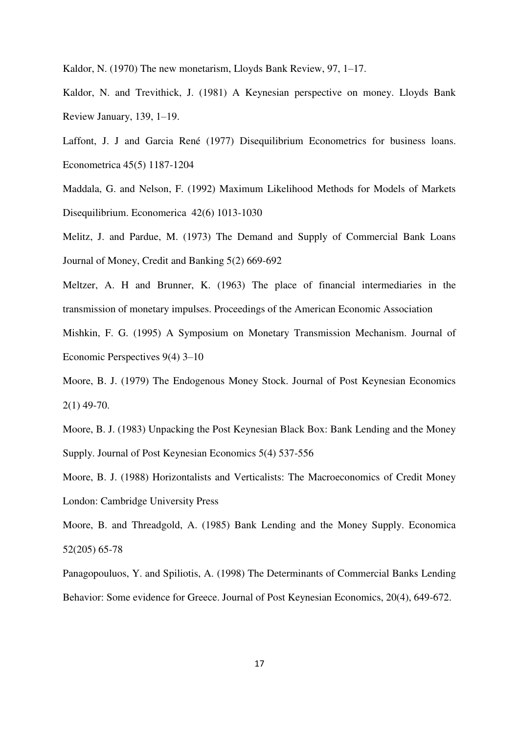Kaldor, N. (1970) The new monetarism, Lloyds Bank Review, 97, 1–17.

Kaldor, N. and Trevithick, J. (1981) A Keynesian perspective on money. Lloyds Bank Review January, 139, 1–19.

Laffont, J. J and Garcia René (1977) Disequilibrium Econometrics for business loans. Econometrica 45(5) 1187-1204

Maddala, G. and Nelson, F. (1992) Maximum Likelihood Methods for Models of Markets Disequilibrium. Economerica 42(6) 1013-1030

Melitz, J. and Pardue, M. (1973) The Demand and Supply of Commercial Bank Loans Journal of Money, Credit and Banking 5(2) 669-692

Meltzer, A. H and Brunner, K. (1963) The place of financial intermediaries in the transmission of monetary impulses. Proceedings of the American Economic Association

Mishkin, F. G. (1995) A Symposium on Monetary Transmission Mechanism. Journal of Economic Perspectives 9(4) 3–10

Moore, B. J. (1979) The Endogenous Money Stock. Journal of Post Keynesian Economics 2(1) 49-70.

Moore, B. J. (1983) Unpacking the Post Keynesian Black Box: Bank Lending and the Money Supply. Journal of Post Keynesian Economics 5(4) 537-556

Moore, B. J. (1988) Horizontalists and Verticalists: The Macroeconomics of Credit Money London: Cambridge University Press

Moore, B. and Threadgold, A. (1985) Bank Lending and the Money Supply. Economica 52(205) 65-78

Panagopouluos, Y. and Spiliotis, A. (1998) The Determinants of Commercial Banks Lending Behavior: Some evidence for Greece. Journal of Post Keynesian Economics, 20(4), 649-672.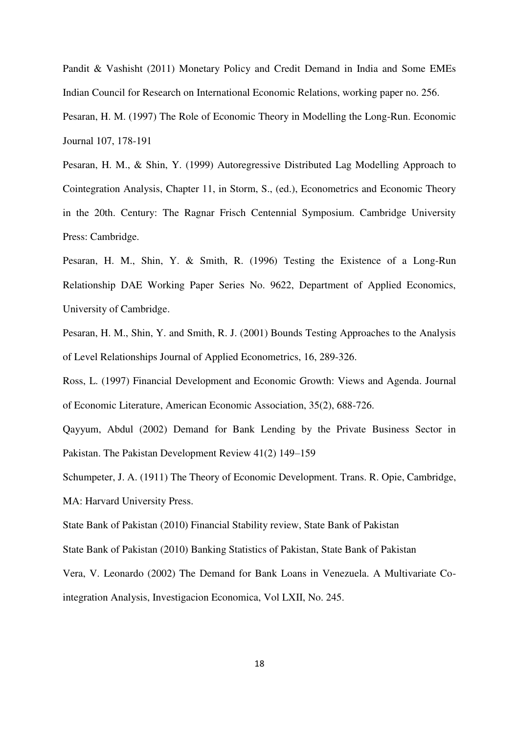Pandit & Vashisht (2011) Monetary Policy and Credit Demand in India and Some EMEs Indian Council for Research on International Economic Relations, working paper no. 256.

Pesaran, H. M. (1997) The Role of Economic Theory in Modelling the Long-Run. Economic Journal 107, 178-191

Pesaran, H. M., & Shin, Y. (1999) Autoregressive Distributed Lag Modelling Approach to Cointegration Analysis, Chapter 11, in Storm, S., (ed.), Econometrics and Economic Theory in the 20th. Century: The Ragnar Frisch Centennial Symposium. Cambridge University Press: Cambridge.

Pesaran, H. M., Shin, Y. & Smith, R. (1996) Testing the Existence of a Long-Run Relationship DAE Working Paper Series No. 9622, Department of Applied Economics, University of Cambridge.

Pesaran, H. M., Shin, Y. and Smith, R. J. (2001) Bounds Testing Approaches to the Analysis of Level Relationships Journal of Applied Econometrics, 16, 289-326.

Ross, L. (1997) [Financial Development and Economic Growth: Views and Agenda.](http://ideas.repec.org/a/aea/jeclit/v35y1997i2p688-726.html) [Journal](http://ideas.repec.org/s/aea/jeclit.html)  [of Economic Literature,](http://ideas.repec.org/s/aea/jeclit.html) American Economic Association, 35(2), 688-726.

Qayyum, Abdul (2002) Demand for Bank Lending by the Private Business Sector in Pakistan. The Pakistan Development Review 41(2) 149–159

Schumpeter, J. A. (1911) The Theory of Economic Development. Trans. R. Opie, Cambridge, MA: Harvard University Press.

State Bank of Pakistan (2010) Financial Stability review, State Bank of Pakistan

State Bank of Pakistan (2010) Banking Statistics of Pakistan, State Bank of Pakistan

Vera, V. Leonardo (2002) The Demand for Bank Loans in Venezuela. A Multivariate Cointegration Analysis, Investigacion Economica, Vol LXII, No. 245.